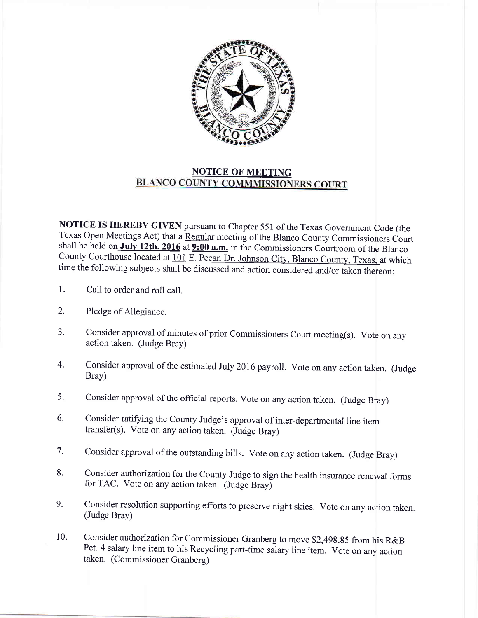

## NOTICE OF MEETING<br>BLANCO COUNTY COMMMISSIONERS COURT

NOTICE IS HEREBY GIVEN pursuant to Chapter 551 of the Texas Government Code (the Texas Open Meetings Act) that a Regular meeting of the Blanco County Commissioners Court shall be held on July 12th, 2016 at 9:00 a.m. in the Commissioners Courtroom of the Blanco County Courthouse located at 101 E. Pecan Dr. Johnson City, Blanco County, Texas, at which time the following subjects shall be discussed and action considered and/or taken thereon:

- 1. Call to order and roll call.
- 2. Pledge of Allegiance.
- 3. consider approval of minutes of prior commissioners court meeting(s). Vote on any action taken. (Judge Bray)
- 4. Consider approval of the estimated July 2016 payroll. Vote on any action taken. (Judge Brav)
- Consider approval of the official reports. Vote on any action taken. (Judge Bray) 5.
- Consider ratifying the County Judge's approval of inter-departmental line item transfer(s). Vote on any action taken. (Judge Bray) 6.
- Consider approval of the outstanding bills. Vote on any action taken. (Judge Bray) 7.
- Consider authorization for the County Judge to sign the health insurance renewal forms for TAC. Vote on any action taken. (Judge Bray) 8.
- Consider resolution supporting efforts to preserve night skies. Vote on any action taken. (Judge Bray) 9.
- Consider authorization for Commissioner Granberg to move \$2,498.85 from his R&B Pct. 4 salary line item to his Recycling part-time salary line item. Vote on any action taken. (Commissioner Granberg) 10.